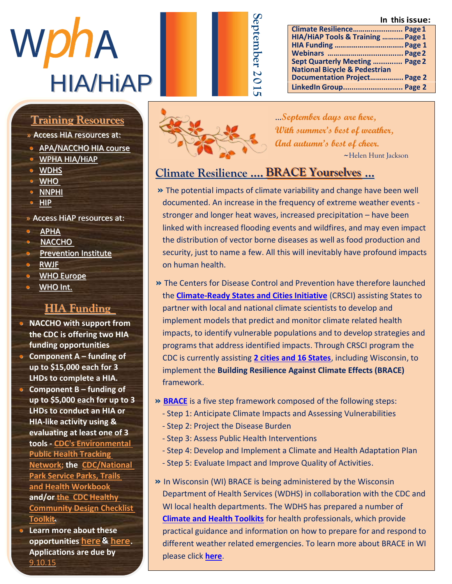**In this issue:**

| WDNA            | ten |
|-----------------|-----|
| <b>HIA/HIAP</b> |     |

## Member Highlight <u>Training Resources</u>

» Access HIA resources at:

- **[APA/NACCHO](http://advance.captus.com/planning/hia2/home.aspx) HIA course**
- » M s [A b b y J a c k s o n](http://www.wpha.org/?page=hia_library) h a s **•** WPHA HIA/HiAP
	- $\bullet$   $\overline{\text{WDRS}}$
	- $\frac{1}{WHO}$  $\frac{1}{WHO}$  $\frac{1}{WHO}$  $\frac{M_1}{M_2}$
	- $\bullet$   $\frac{\text{NNPHI}}{\text{MB}}$  $\frac{\text{NNPHI}}{\text{MB}}$  $\frac{\text{NNPHI}}{\text{MB}}$
	- $\bullet$  HIP c a t i o  $\bullet$  f i c  $\bullet$  f i c  $\bullet$  f i c  $\bullet$  f i c  $\bullet$  f i c  $\bullet$  f i c  $\bullet$  f i c  $\bullet$  f i c  $\bullet$  f i c  $\bullet$  f i c  $\bullet$  f i c  $\bullet$  f i c  $\bullet$  f i c  $\bullet$  f i c  $\bullet$  f i c  $\bullet$  f i c  $\bullet$  f i c  $\bullet$  f i c  $\bullet$
	- » Access HiAP resources at:  $\overline{A}$  and  $\overline{A}$
	- **•** <u>[APHA](http://apha.org/topics-and-issues/healthy-communities/health-in-all-policies)</u><br>•• APHA</u>
	- e <u>[NACCHO](http://www.naccho.org/advocacy/positions/upload/12-01-health-in-all-policies.pdf)</u>
	- **Prevention Institute**
	- o <u>RWJF</u> e con a s w e l a s w e l a s w e l a s w e l a s w e l a s w e l a s w e l a s w e l a s w e l a s w e
	- **i** MHO Europe
	- $\bullet$  WHO Int.  $\frac{m_0}{m_1}$

#### t H A E<sub>nn</sub> 1 <u>HIA Funding</u>

- **NACCHO with support from** the CDC is offering two HIA funding opportunities **Component A – funding of**
- $t_{\rm out}$   $t_{\rm in}$   $t_{\rm in}$   $t_{\rm in}$   $t_{\rm in}$ **up to \$15,000 each for 3 LHDs to complete a HIA.**
- **Component B funding of up to \$5,000 each for up to 3 LHDs to conduct an HIA or HIA-like activity using &** evaluating at least one of 3 **tools - CDC's Environmental Public Health Tracking**  $M_{\rm H} = \frac{1}{2} \ln \frac{1}{2} \left( \frac{1}{2} \frac{1}{2} \right) \left( \frac{1}{2} \right) \left( \frac{1}{2} \right)$ **[Network;](http://ephtracking.cdc.gov/showHealthImpactAssessment.action) the [CDC/National](http://api.ning.com/files/NEbifnOqun0dq736MIzTpCTyAoyWsCRGCgx9EBRz58N1y09xWbcjY67fW7zDwlnxpWKUDQCgJVundVyeqhKcQbN8RIQdXFde/PTHWorkbook20150505.pdf)  Park Service Parks, Trails** <u>[and Health Workbook](http://api.ning.com/files/NEbifnOqun0dq736MIzTpCTyAoyWsCRGCgx9EBRz58N1y09xWbcjY67fW7zDwlnxpWKUDQCgJVundVyeqhKcQbN8RIQdXFde/PTHWorkbook20150505.pdf)</u> and/or **the CDC Healthy Community Design Checklist**  $\underline{\textbf{Toolkit}}$ .
- **E** Learn more about these **opportunities** [here](http://r20.rs6.net/tn.jsp?f=001p43uxrwl2hH59kwIMv-Lvy8G06O4oE7kR9bgxGNadKiFkqrUoM3WzbU2zzYfXGHQn-SmOnHLnTktlscV26tp230Pv5YqQgz6b4cXm50rlLEt-Qk_-0HWsA_S5pYR6NWriZbZ-TSzrJp1ITh97FuSnjpTGZgXGRLbLMLeD1fFkExda6GTFeCQo2ITN70gRm6xLMhihMoxcDzO36y0QmCzT2urqneDc6Y8&c=7lu0s_D80Wm0Yw6UeQUtJP0K3LURGBbR3ALVP2lDvZuZsAL0rg_PFA==&ch=Y9vpOeSnkXEaPS82nvt0BTCsZugVfQUS2v-hAqhbj0BScVnLOYRU6w==) & here. **Applications are due by** 9.10.15



...**September days are here, With summer's best of weather, And autumn's best of cheer.** ~Helen Hunt Jackson

**National Bicycle & Pedestrian** 

**Climate Resilience………............... Page1 HIA/HiAP Tools & Training ……..…Page1 HIA Funding ………………………………Page 1 Webinars ………………................... Page2 Sept Quarterly Meeting …........... Page 2**

**Documentation Project…………….. Page 2 LinkedIn Group............................ Page 2**

## **Climate Resilience …. BRACE Yourselves …**

**September**

- **»** The potential impacts of climate variability and change have been well documented. An increase in the frequency of extreme weather events stronger and longer heat waves, increased precipitation – have been linked with increased flooding events and wildfires, and may even impact the distribution of vector borne diseases as well as food production and security, just to name a few. All this will inevitably have profound impacts on human health.
- **»** The Centers for Disease Control and Prevention have therefore launched the **[Climate-Ready States and Cities Initiative](http://www.cdc.gov/climateandhealth/climate_ready.htm)** (CRSCI) assisting States to partner with local and national climate scientists to develop and implement models that predict and monitor climate related health impacts, to identify vulnerable populations and to develop strategies and programs that address identified impacts. Through CRSCI program the CDC is currently assisting **[2 cities and 16 States](http://www.cdc.gov/climateandhealth/crsci_grantees.htm)**, including Wisconsin, to implement the **Building Resilience Against Climate Effects (BRACE)** framework.
- **» [BRACE](http://www.cdc.gov/climateandhealth/brace.htm)** is a five step framework composed of the following steps:
	- Step 1: Anticipate Climate Impacts and Assessing Vulnerabilities
	- Step 2: Project the Disease Burden
	- Step 3: Assess Public Health Interventions
	- Step 4: Develop and Implement a Climate and Health Adaptation Plan
	- Step 5: Evaluate Impact and Improve Quality of Activities.
- **»** In Wisconsin (WI) BRACE is being administered by the Wisconsin Department of Health Services (WDHS) in collaboration with the CDC and WI local health departments. The WDHS has prepared a number of **[Climate and Health Toolkits](https://www.dhs.wisconsin.gov/climate/toolkits.htm)** for health professionals, which provide practical guidance and information on how to prepare for and respond to different weather related emergencies. To learn more about BRACE in WI please click **[here](https://www.dhs.wisconsin.gov/climate/index.htm)**.